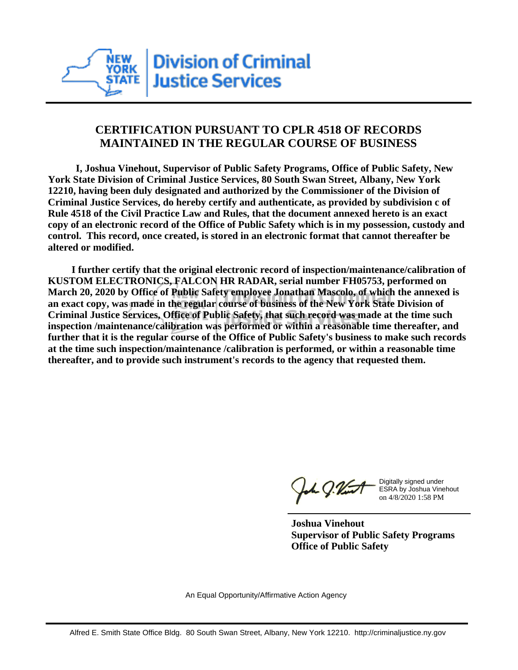

## **CERTIFICATION PURSUANT TO CPLR 4518 OF RECORDS MAINTAINED IN THE REGULAR COURSE OF BUSINESS**

 **I, Joshua Vinehout, Supervisor of Public Safety Programs, Office of Public Safety, New York State Division of Criminal Justice Services, 80 South Swan Street, Albany, New York 12210, having been duly designated and authorized by the Commissioner of the Division of Criminal Justice Services, do hereby certify and authenticate, as provided by subdivision c of Rule 4518 of the Civil Practice Law and Rules, that the document annexed hereto is an exact copy of an electronic record of the Office of Public Safety which is in my possession, custody and control. This record, once created, is stored in an electronic format that cannot thereafter be altered or modified.**

 **I further certify that the original electronic record of inspection/maintenance/calibration of KUSTOM ELECTRONICS, FALCON HR RADAR, serial number FH05753, performed on March 20, 2020 by Office of Public Safety employee Jonathan Mascolo, of which the annexed is an exact copy, was made in the regular course of business of the New York State Division of Criminal Justice Services, Office of Public Safety, that such record was made at the time such inspection /maintenance/calibration was performed or within a reasonable time thereafter, and further that it is the regular course of the Office of Public Safety's business to make such records at the time such inspection/maintenance /calibration is performed, or within a reasonable time thereafter, and to provide such instrument's records to the agency that requested them.**

h J.Vint

Digitally signed under ESRA by Joshua Vinehout on 4/8/2020 1:58 PM

**Joshua Vinehout Supervisor of Public Safety Programs Office of Public Safety**

An Equal Opportunity/Affirmative Action Agency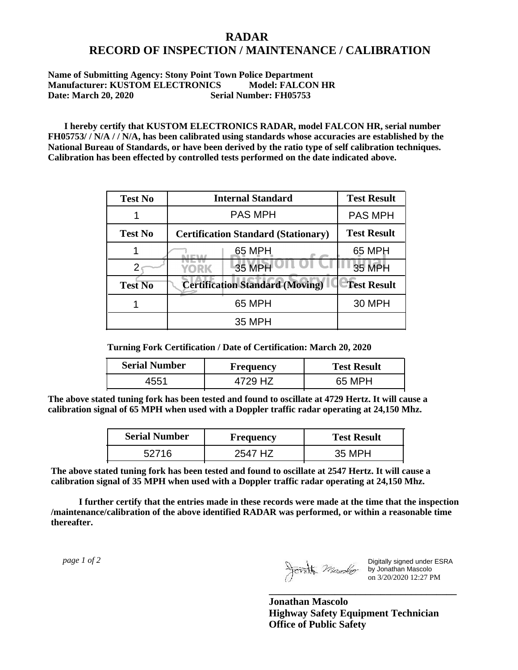## **RADAR RECORD OF INSPECTION / MAINTENANCE / CALIBRATION**

## **Name of Submitting Agency: Stony Point Town Police Department Manufacturer: KUSTOM ELECTRONICS Model: FALCON HR Date: March 20, 2020 Serial Number: FH05753**

 **I hereby certify that KUSTOM ELECTRONICS RADAR, model FALCON HR, serial number FH05753/ / N/A / / N/A, has been calibrated using standards whose accuracies are established by the National Bureau of Standards, or have been derived by the ratio type of self calibration techniques. Calibration has been effected by controlled tests performed on the date indicated above.**

| <b>Test No</b> | <b>Internal Standard</b>                   | <b>Test Result</b> |
|----------------|--------------------------------------------|--------------------|
|                | <b>PAS MPH</b>                             | <b>PAS MPH</b>     |
| <b>Test No</b> | <b>Certification Standard (Stationary)</b> | <b>Test Result</b> |
|                | 65 MPH                                     | 65 MPH             |
|                | 35 MPH<br>YORK                             | <b>35 MPH</b>      |
| <b>Test No</b> | <b>Certification Standard (Moving)</b>     | <b>Test Result</b> |
|                | 65 MPH                                     | 30 MPH             |
|                | <b>35 MPH</b>                              |                    |

**Turning Fork Certification / Date of Certification: March 20, 2020**

| <b>Serial Number</b> | <b>Frequency</b> | <b>Test Result</b> |
|----------------------|------------------|--------------------|
| +551                 | HZ               | 65 MPH             |

**The above stated tuning fork has been tested and found to oscillate at 4729 Hertz. It will cause a calibration signal of 65 MPH when used with a Doppler traffic radar operating at 24,150 Mhz.**

| <b>Serial Number</b> | Frequency | <b>Test Result</b> |
|----------------------|-----------|--------------------|
| 52716                | 2547 H7   | 35 MPH             |

**The above stated tuning fork has been tested and found to oscillate at 2547 Hertz. It will cause a calibration signal of 35 MPH when used with a Doppler traffic radar operating at 24,150 Mhz.**

 **I further certify that the entries made in these records were made at the time that the inspection /maintenance/calibration of the above identified RADAR was performed, or within a reasonable time thereafter.**

 *page 1 of 2* 

Digitally signed under ESRA by Jonathan Mascolo on 3/20/2020 12:27 PM

**Jonathan Mascolo Highway Safety Equipment Technician Office of Public Safety**

**\_\_\_\_\_\_\_\_\_\_\_\_\_\_\_\_\_\_\_\_\_\_\_\_\_\_\_\_\_\_\_\_\_\_\_\_\_**